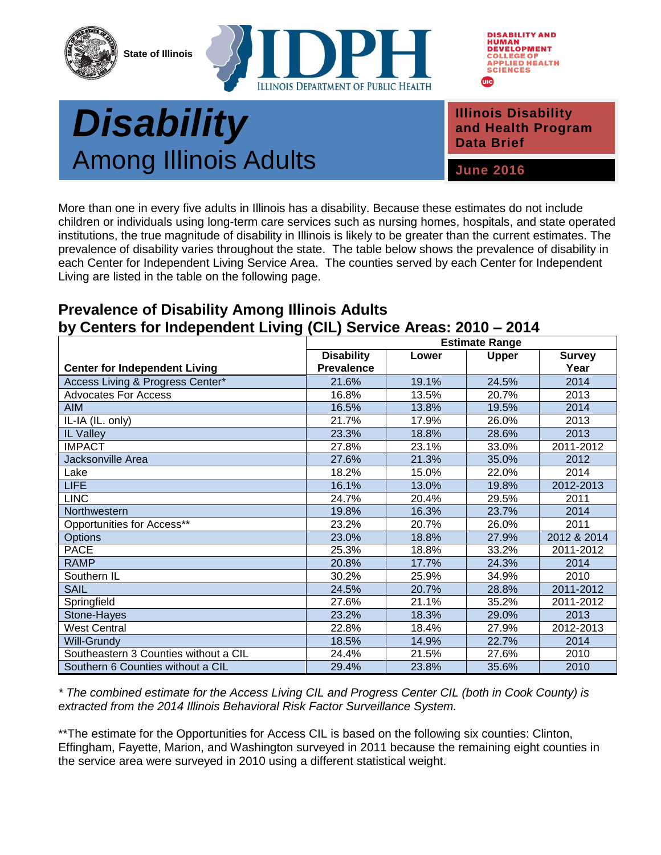





## **Public Health** *Disability* **Among Illinois Adults June 2016**

**Illinois Disability and Health Program Data Brief**

More than one in every five adults in Illinois has a disability. Because these estimates do not include children or individuals using long-term care services such as nursing homes, hospitals, and state operated institutions, the true magnitude of disability in Illinois is likely to be greater than the current estimates. The prevalence of disability varies throughout the state. The table below shows the prevalence of disability in each Center for Independent Living Service Area. The counties served by each Center for Independent Living are listed in the table on the following page.

## **Prevalence of Disability Among Illinois Adults by Centers for Independent Living (CIL) Service Areas: 2010 – 2014**

|                                       | <b>Estimate Range</b> |       |              |               |
|---------------------------------------|-----------------------|-------|--------------|---------------|
|                                       | <b>Disability</b>     | Lower | <b>Upper</b> | <b>Survey</b> |
| <b>Center for Independent Living</b>  | <b>Prevalence</b>     |       |              | Year          |
| Access Living & Progress Center*      | 21.6%                 | 19.1% | 24.5%        | 2014          |
| <b>Advocates For Access</b>           | 16.8%                 | 13.5% | 20.7%        | 2013          |
| <b>AIM</b>                            | 16.5%                 | 13.8% | 19.5%        | 2014          |
| IL-IA (IL. only)                      | 21.7%                 | 17.9% | 26.0%        | 2013          |
| IL Valley                             | 23.3%                 | 18.8% | 28.6%        | 2013          |
| <b>IMPACT</b>                         | 27.8%                 | 23.1% | 33.0%        | 2011-2012     |
| Jacksonville Area                     | 27.6%                 | 21.3% | 35.0%        | 2012          |
| Lake                                  | 18.2%                 | 15.0% | 22.0%        | 2014          |
| <b>LIFE</b>                           | 16.1%                 | 13.0% | 19.8%        | 2012-2013     |
| <b>LINC</b>                           | 24.7%                 | 20.4% | 29.5%        | 2011          |
| Northwestern                          | 19.8%                 | 16.3% | 23.7%        | 2014          |
| Opportunities for Access**            | 23.2%                 | 20.7% | 26.0%        | 2011          |
| <b>Options</b>                        | 23.0%                 | 18.8% | 27.9%        | 2012 & 2014   |
| <b>PACE</b>                           | 25.3%                 | 18.8% | 33.2%        | 2011-2012     |
| <b>RAMP</b>                           | 20.8%                 | 17.7% | 24.3%        | 2014          |
| Southern IL                           | 30.2%                 | 25.9% | 34.9%        | 2010          |
| <b>SAIL</b>                           | 24.5%                 | 20.7% | 28.8%        | 2011-2012     |
| Springfield                           | 27.6%                 | 21.1% | 35.2%        | 2011-2012     |
| Stone-Hayes                           | 23.2%                 | 18.3% | 29.0%        | 2013          |
| <b>West Central</b>                   | 22.8%                 | 18.4% | 27.9%        | 2012-2013     |
| Will-Grundy                           | 18.5%                 | 14.9% | 22.7%        | 2014          |
| Southeastern 3 Counties without a CIL | 24.4%                 | 21.5% | 27.6%        | 2010          |
| Southern 6 Counties without a CIL     | 29.4%                 | 23.8% | 35.6%        | 2010          |

*\* The combined estimate for the Access Living CIL and Progress Center CIL (both in Cook County) is extracted from the 2014 Illinois Behavioral Risk Factor Surveillance System.* 

\*\*The estimate for the Opportunities for Access CIL is based on the following six counties: Clinton, Effingham, Fayette, Marion, and Washington surveyed in 2011 because the remaining eight counties in the service area were surveyed in 2010 using a different statistical weight.